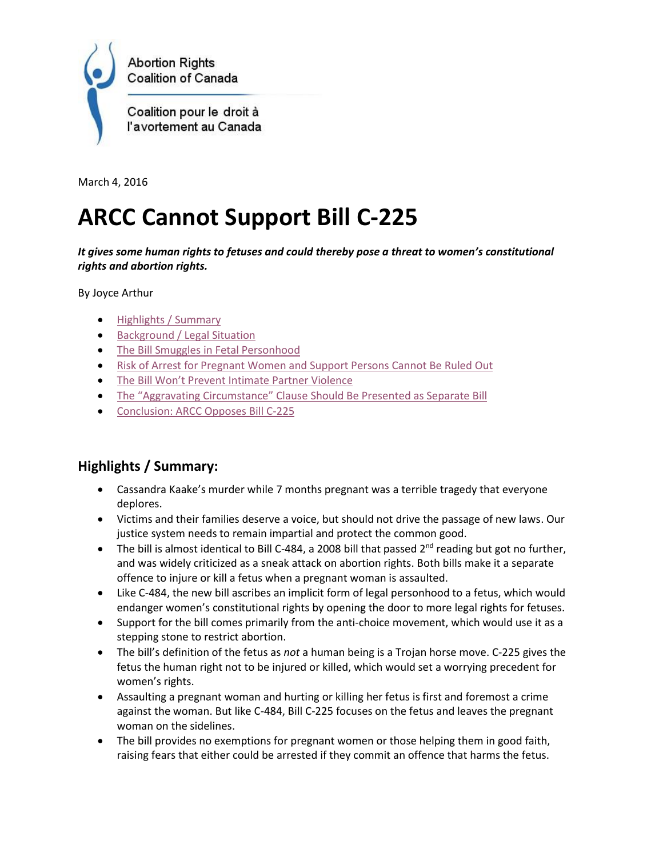

March 4, 2016

# **ARCC Cannot Support Bill C-225**

*It gives some human rights to fetuses and could thereby pose a threat to women's constitutional rights and abortion rights.* 

By Joyce Arthur

- [Highlights / Summary](#page-0-0)
- [Background / Legal Situation](#page-1-0)
- [The Bill Smuggles in Fetal Personhood](#page-2-0)
- [Risk of Arrest for Pregnant Women and Support Persons Cannot Be Ruled Out](#page-3-0)
- The Bill Won['t Prevent Intimate Partner Violence](#page-4-0)
- The "Aggravating Circumstance" Claus[e Should Be Presented as Separate Bill](#page-5-0)
- [Conclusion: ARCC Opposes Bill C-225](#page-5-1)

# <span id="page-0-0"></span>**Highlights / Summary:**

- Cassandra Kaake's murder while 7 months pregnant was a terrible tragedy that everyone deplores.
- Victims and their families deserve a voice, but should not drive the passage of new laws. Our justice system needs to remain impartial and protect the common good.
- The bill is almost identical to Bill C-484, a 2008 bill that passed  $2^{nd}$  reading but got no further, and was widely criticized as a sneak attack on abortion rights. Both bills make it a separate offence to injure or kill a fetus when a pregnant woman is assaulted.
- Like C-484, the new bill ascribes an implicit form of legal personhood to a fetus, which would endanger women's constitutional rights by opening the door to more legal rights for fetuses.
- Support for the bill comes primarily from the anti-choice movement, which would use it as a stepping stone to restrict abortion.
- The bill's definition of the fetus as *not* a human being is a Trojan horse move. C-225 gives the fetus the human right not to be injured or killed, which would set a worrying precedent for women's rights.
- Assaulting a pregnant woman and hurting or killing her fetus is first and foremost a crime against the woman. But like C-484, Bill C-225 focuses on the fetus and leaves the pregnant woman on the sidelines.
- The bill provides no exemptions for pregnant women or those helping them in good faith, raising fears that either could be arrested if they commit an offence that harms the fetus.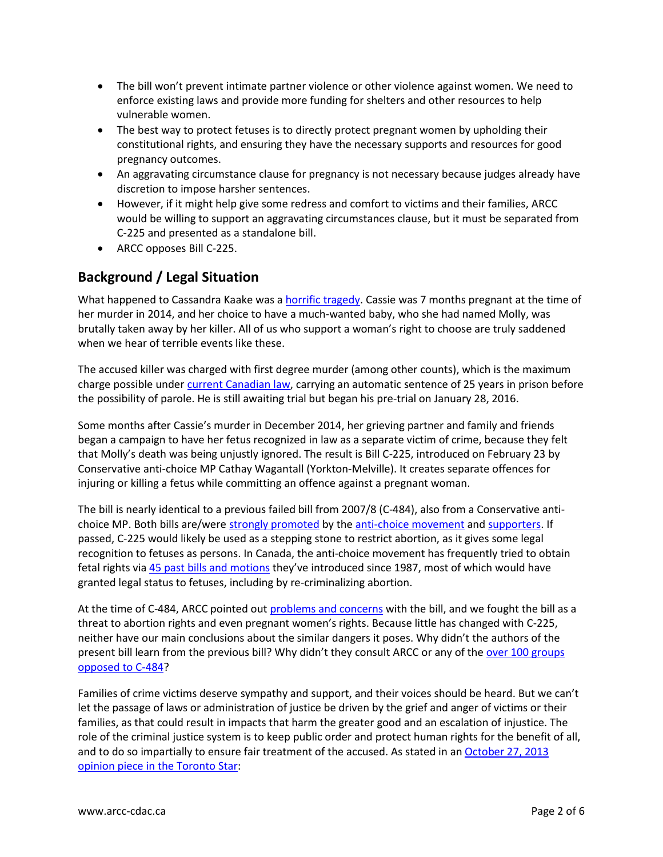- The bill won't prevent intimate partner violence or other violence against women. We need to enforce existing laws and provide more funding for shelters and other resources to help vulnerable women.
- The best way to protect fetuses is to directly protect pregnant women by upholding their constitutional rights, and ensuring they have the necessary supports and resources for good pregnancy outcomes.
- An aggravating circumstance clause for pregnancy is not necessary because judges already have discretion to impose harsher sentences.
- However, if it might help give some redress and comfort to victims and their families, ARCC would be willing to support an aggravating circumstances clause, but it must be separated from C-225 and presented as a standalone bill.
- ARCC opposes Bill C-225.

# <span id="page-1-0"></span>**Background / Legal Situation**

What happened to Cassandra Kaake was [a horrific tragedy.](http://news.nationalpost.com/news/canada/life-is-life-father-of-unborn-child-killed-with-pregnant-mother-wants-new-law-for-murder-charges) Cassie was 7 months pregnant at the time of her murder in 2014, and her choice to have a much-wanted baby, who she had named Molly, was brutally taken away by her killer. All of us who support a woman's right to choose are truly saddened when we hear of terrible events like these.

The accused killer was charged with first degree murder (among other counts), which is the maximum charge possible under [current Canadian law,](http://laws-lois.justice.gc.ca/eng/acts/C-46/section-231.html) carrying an automatic sentence of 25 years in prison before the possibility of parole. He is still awaiting trial but began his pre-trial on January 28, 2016.

Some months after Cassie's murder in December 2014, her grieving partner and family and friends began a campaign to have her fetus recognized in law as a separate victim of crime, because they felt that Molly's death was being unjustly ignored. The result is Bill C-225, introduced on February 23 by Conservative anti-choice MP Cathay Wagantall (Yorkton-Melville). It creates separate offences for injuring or killing a fetus while committing an offence against a pregnant woman.

The bill is nearly identical to a previous failed bill from 2007/8 (C-484), also from a Conservative antichoice MP. Both bills are/wer[e strongly promoted](https://www.weneedalaw.ca/blog/573-cassie-molly-s-law-is-on-the-table) by the [anti-choice movement](https://www.saskprolife.com/home/news/218/news-release-bill-c-225-protection-of-pregnant-women-and-their-preborn-children-act-) and [supporters.](http://run-with-life.blogspot.ca/2016/02/cassie-and-mollys-law.html) If passed, C-225 would likely be used as a stepping stone to restrict abortion, as it gives some legal recognition to fetuses as persons. In Canada, the anti-choice movement has frequently tried to obtain fetal rights via [45 past bills and motions](http://www.arcc-cdac.ca/presentations/anti-bills.html) they've introduced since 1987, most of which would have granted legal status to fetuses, including by re-criminalizing abortion.

At the time of C-484, ARCC pointed out [problems and concerns](http://www.arcc-cdac.ca/action/unborn-victims-act.htm) with the bill, and we fought the bill as a threat to abortion rights and even pregnant women's rights. Because little has changed with C-225, neither have our main conclusions about the similar dangers it poses. Why didn't the authors of the present bill learn from the previous bill? Why didn't they consult ARCC or any of the over 100 groups [opposed to C-484?](http://www.arcc-cdac.ca/action/open-statement.html)

Families of crime victims deserve sympathy and support, and their voices should be heard. But we can't let the passage of laws or administration of justice be driven by the grief and anger of victims or their families, as that could result in impacts that harm the greater good and an escalation of injustice. The role of the criminal justice system is to keep public order and protect human rights for the benefit of all, and to do so impartially to ensure fair treatment of the accused. As stated in a[n October 27, 2013](http://www.thestar.com/opinion/commentary/2013/10/27/conservative_victims_bill_of_rights_smacks_of_medieval_justice.html)  [opinion piece in the Toronto Star:](http://www.thestar.com/opinion/commentary/2013/10/27/conservative_victims_bill_of_rights_smacks_of_medieval_justice.html)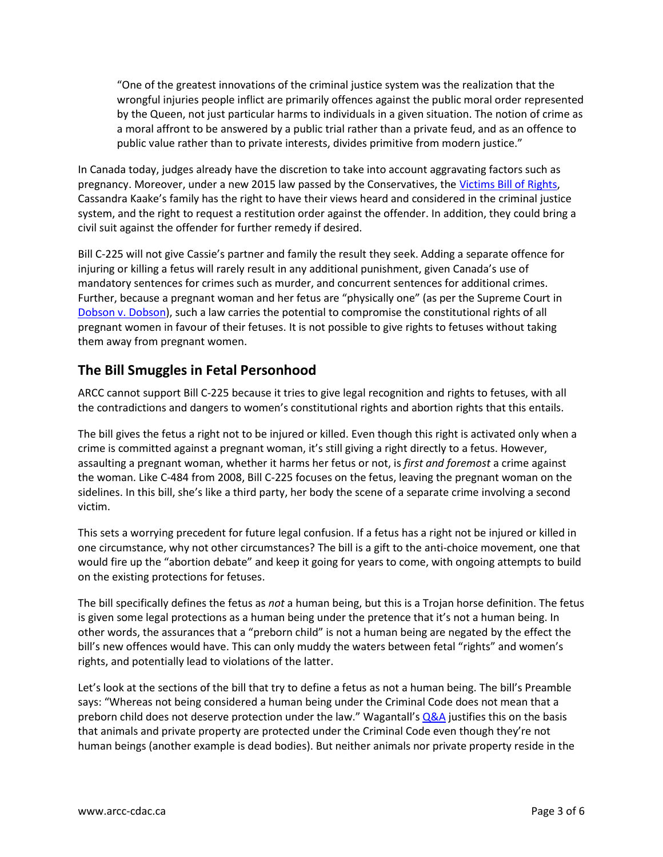"One of the greatest innovations of the criminal justice system was the realization that the wrongful injuries people inflict are primarily offences against the public moral order represented by the Queen, not just particular harms to individuals in a given situation. The notion of crime as a moral affront to be answered by a public trial rather than a private feud, and as an offence to public value rather than to private interests, divides primitive from modern justice."

In Canada today, judges already have the discretion to take into account aggravating factors such as pregnancy. Moreover, under a new 2015 law passed by the Conservatives, the [Victims Bill of Rights,](http://laws-lois.justice.gc.ca/eng/acts/C-23.7/page-1.html) Cassandra Kaake's family has the right to have their views heard and considered in the criminal justice system, and the right to request a restitution order against the offender. In addition, they could bring a civil suit against the offender for further remedy if desired.

Bill C-225 will not give Cassie's partner and family the result they seek. Adding a separate offence for injuring or killing a fetus will rarely result in any additional punishment, given Canada's use of mandatory sentences for crimes such as murder, and concurrent sentences for additional crimes. Further, because a pregnant woman and her fetus are "physically one" (as per the Supreme Court in [Dobson v. Dobson\)](https://scc-csc.lexum.com/scc-csc/scc-csc/en/item/1716/index.do), such a law carries the potential to compromise the constitutional rights of all pregnant women in favour of their fetuses. It is not possible to give rights to fetuses without taking them away from pregnant women.

# <span id="page-2-0"></span>**The Bill Smuggles in Fetal Personhood**

ARCC cannot support Bill C-225 because it tries to give legal recognition and rights to fetuses, with all the contradictions and dangers to women's constitutional rights and abortion rights that this entails.

The bill gives the fetus a right not to be injured or killed. Even though this right is activated only when a crime is committed against a pregnant woman, it's still giving a right directly to a fetus. However, assaulting a pregnant woman, whether it harms her fetus or not, is *first and foremost* a crime against the woman. Like C-484 from 2008, Bill C-225 focuses on the fetus, leaving the pregnant woman on the sidelines. In this bill, she's like a third party, her body the scene of a separate crime involving a second victim.

This sets a worrying precedent for future legal confusion. If a fetus has a right not be injured or killed in one circumstance, why not other circumstances? The bill is a gift to the anti-choice movement, one that would fire up the "abortion debate" and keep it going for years to come, with ongoing attempts to build on the existing protections for fetuses.

The bill specifically defines the fetus as *not* a human being, but this is a Trojan horse definition. The fetus is given some legal protections as a human being under the pretence that it's not a human being. In other words, the assurances that a "preborn child" is not a human being are negated by the effect the bill's new offences would have. This can only muddy the waters between fetal "rights" and women's rights, and potentially lead to violations of the latter.

Let's look at the sections of the bill that try to define a fetus as not a human being. The bill's Preamble says: "Whereas not being considered a human being under the Criminal Code does not mean that a preborn child does not deserve protection under the law." Wagantall's  $Q&A$  justifies this on the basis that animals and private property are protected under the Criminal Code even though they're not human beings (another example is dead bodies). But neither animals nor private property reside in the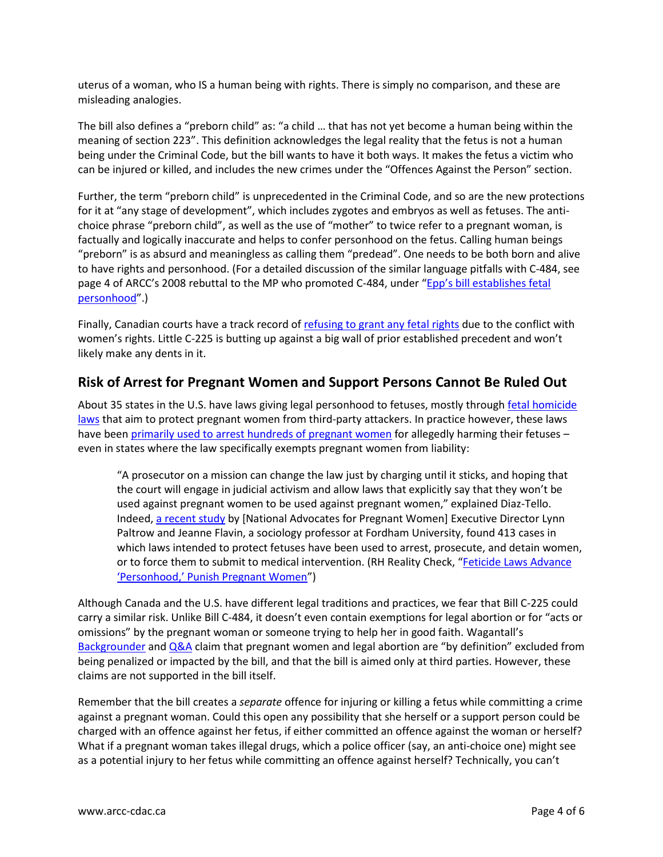uterus of a woman, who IS a human being with rights. There is simply no comparison, and these are misleading analogies.

The bill also defines a "preborn child" as: "a child … that has not yet become a human being within the meaning of section 223". This definition acknowledges the legal reality that the fetus is not a human being under the Criminal Code, but the bill wants to have it both ways. It makes the fetus a victim who can be injured or killed, and includes the new crimes under the "Offences Against the Person" section.

Further, the term "preborn child" is unprecedented in the Criminal Code, and so are the new protections for it at "any stage of development", which includes zygotes and embryos as well as fetuses. The antichoice phrase "preborn child", as well as the use of "mother" to twice refer to a pregnant woman, is factually and logically inaccurate and helps to confer personhood on the fetus. Calling human beings "preborn" is as absurd and meaningless as calling them "predead". One needs to be both born and alive to have rights and personhood. (For a detailed discussion of the similar language pitfalls with C-484, see page 4 of ARCC's 2008 rebuttal to the MP who promoted C-484, under "Epp's bill establishes fetal [personhood](http://www.arcc-cdac.ca/presentations/rebuttal-to-ken-epp.pdf)".)

Finally, Canadian courts have a track record of [refusing to grant any fetal rights](http://www.lop.parl.gc.ca/content/lop/researchpublications/prb0822-e.htm#therights) due to the conflict with women's rights. Little C-225 is butting up against a big wall of prior established precedent and won't likely make any dents in it.

#### <span id="page-3-0"></span>**Risk of Arrest for Pregnant Women and Support Persons Cannot Be Ruled Out**

About 35 states in the U.S. have laws giving legal personhood to fetuses, mostly through fetal homicide [laws](http://www.ncsl.org/research/health/fetal-homicide-state-laws.aspx) that aim to protect pregnant women from third-party attackers. In practice however, these laws have been [primarily used to arrest hundreds of pregnant women](http://advocatesforpregnantwomen.org/main/publications/articles_and_reports/executive_summary_paltrow_flavin_jhppl_article.php) for allegedly harming their fetuses even in states where the law specifically exempts pregnant women from liability:

"A prosecutor on a mission can change the law just by charging until it sticks, and hoping that the court will engage in judicial activism and allow laws that explicitly say that they won't be used against pregnant women to be used against pregnant women," explained Diaz-Tello. Indeed, [a recent study](http://rhrealitycheck.org/article/2013/01/14/new-study-reveals-impact-post-roe-v-wade-anti-abortion-measures-on-women/) by [National Advocates for Pregnant Women] Executive Director Lynn Paltrow and Jeanne Flavin, a sociology professor at Fordham University, found 413 cases in which laws intended to protect fetuses have been used to arrest, prosecute, and detain women, or to force them to submit to medical intervention. (RH Reality Check, "[Feticide Laws Advance](http://rhrealitycheck.org/article/2014/01/09/feticide-laws-advance-personhood-punish-pregnant-women/)  ['Personhood,' Punish Pregnant Women"](http://rhrealitycheck.org/article/2014/01/09/feticide-laws-advance-personhood-punish-pregnant-women/))

Although Canada and the U.S. have different legal traditions and practices, we fear that Bill C-225 could carry a similar risk. Unlike Bill C-484, it doesn't even contain exemptions for legal abortion or for "acts or omissions" by the pregnant woman or someone trying to help her in good faith. Wagantall's [Backgrounder](http://www.cathaywagantall.ca/wp-content/uploads/2016/02/Wagantall-PMB-Backgrounder-EN.doc) and [Q&A](http://www.cathaywagantall.ca/wp-content/uploads/2016/02/Wagantall-PMB-FAQ-EN.doc) claim that pregnant women and legal abortion are "by definition" excluded from being penalized or impacted by the bill, and that the bill is aimed only at third parties. However, these claims are not supported in the bill itself.

Remember that the bill creates a *separate* offence for injuring or killing a fetus while committing a crime against a pregnant woman. Could this open any possibility that she herself or a support person could be charged with an offence against her fetus, if either committed an offence against the woman or herself? What if a pregnant woman takes illegal drugs, which a police officer (say, an anti-choice one) might see as a potential injury to her fetus while committing an offence against herself? Technically, you can't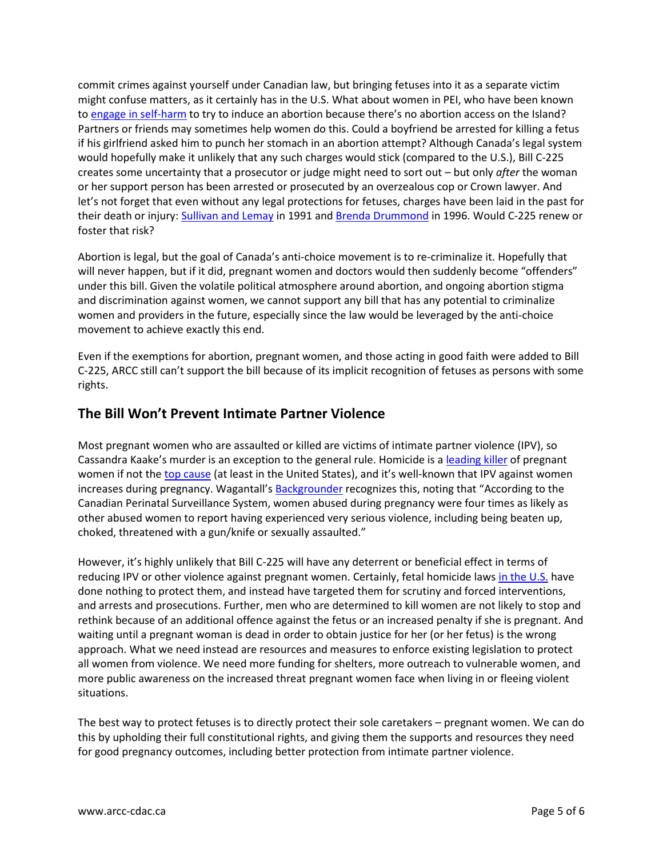commit crimes against yourself under Canadian law, but bringing fetuses into it as a separate victim might confuse matters, as it certainly has in the U.S. What about women in PEI, who have been known to [engage in self-harm](http://projects.upei.ca/cmacquarrie/trials-and-trails/) to try to induce an abortion because there's no abortion access on the Island? Partners or friends may sometimes help women do this. Could a boyfriend be arrested for killing a fetus if his girlfriend asked him to punch her stomach in an abortion attempt? Although Canada's legal system would hopefully make it unlikely that any such charges would stick (compared to the U.S.), Bill C-225 creates some uncertainty that a prosecutor or judge might need to sort out – but only *after* the woman or her support person has been arrested or prosecuted by an overzealous cop or Crown lawyer. And let's not forget that even without any legal protections for fetuses, charges have been laid in the past for their death or injury: [Sullivan and Lemay](http://www.leaf.ca/r-v-sullivan/) in 1991 and [Brenda Drummond](http://www.prochoiceactionnetwork-canada.org/prochoicepress/9697win.shtml#drummond) in 1996. Would C-225 renew or foster that risk?

Abortion is legal, but the goal of Canada's anti-choice movement is to re-criminalize it. Hopefully that will never happen, but if it did, pregnant women and doctors would then suddenly become "offenders" under this bill. Given the volatile political atmosphere around abortion, and ongoing abortion stigma and discrimination against women, we cannot support any bill that has any potential to criminalize women and providers in the future, especially since the law would be leveraged by the anti-choice movement to achieve exactly this end.

Even if the exemptions for abortion, pregnant women, and those acting in good faith were added to Bill C-225, ARCC still can't support the bill because of its implicit recognition of fetuses as persons with some rights.

## <span id="page-4-0"></span>**The Bill Won't Prevent Intimate Partner Violence**

Most pregnant women who are assaulted or killed are victims of intimate partner violence (IPV), so Cassandra Kaake's murder is an exception to the general rule. Homicide is a [leading killer](http://www.reuters.com/article/us-deaths-pregnancy-idUSTRE79P7OK20111026) of pregnant women if not th[e top cause](http://www.webmd.com/baby/news/20010320/number-1-cause-of-death-in-pregnant-women-murder) (at least in the United States), and it's well-known that IPV against women increases during pregnancy. Wagantall's **[Backgrounder](http://www.cathaywagantall.ca/wp-content/uploads/2016/02/Wagantall-PMB-Backgrounder-EN.doc) recognizes this, noting that "According to the** Canadian Perinatal Surveillance System, women abused during pregnancy were four times as likely as other abused women to report having experienced very serious violence, including being beaten up, choked, threatened with a gun/knife or sexually assaulted."

However, it's highly unlikely that Bill C-225 will have any deterrent or beneficial effect in terms of reducing IPV or other violence against pregnant women. Certainly, fetal homicide law[s in the U.S.](http://advocatesforpregnantwomen.org/whats_new/sc_womens_health_coalition_members_speak_the_truth_about_scs.php) have done nothing to protect them, and instead have targeted them for scrutiny and forced interventions, and arrests and prosecutions. Further, men who are determined to kill women are not likely to stop and rethink because of an additional offence against the fetus or an increased penalty if she is pregnant. And waiting until a pregnant woman is dead in order to obtain justice for her (or her fetus) is the wrong approach. What we need instead are resources and measures to enforce existing legislation to protect all women from violence. We need more funding for shelters, more outreach to vulnerable women, and more public awareness on the increased threat pregnant women face when living in or fleeing violent situations.

The best way to protect fetuses is to directly protect their sole caretakers – pregnant women. We can do this by upholding their full constitutional rights, and giving them the supports and resources they need for good pregnancy outcomes, including better protection from intimate partner violence.